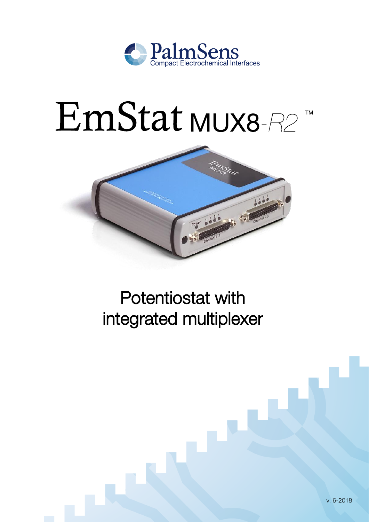

# EmStat MUX8-R2 **TM**



Potentiostat with integrated multiplexer

v. 6-2018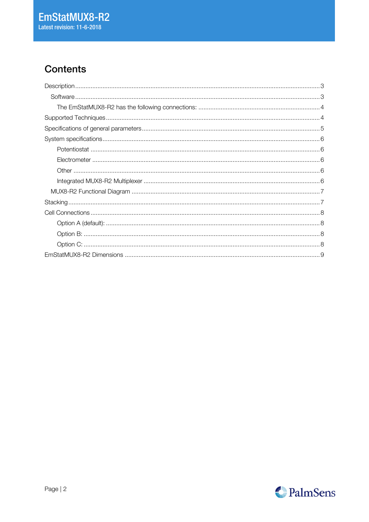# **Contents**

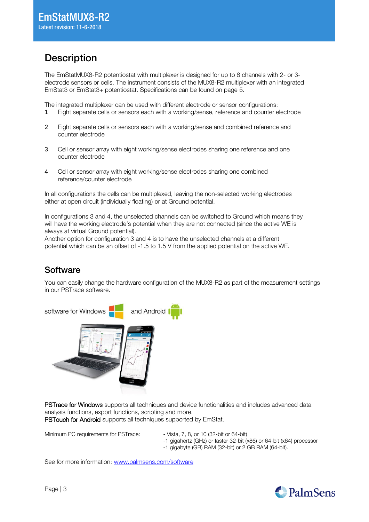### <span id="page-2-0"></span>**Description**

The EmStatMUX8-R2 potentiostat with multiplexer is designed for up to 8 channels with 2- or 3 electrode sensors or cells. The instrument consists of the MUX8-R2 multiplexer with an integrated EmStat3 or EmStat3+ potentiostat. Specifications can be found on page [5.](#page-4-0)

The integrated multiplexer can be used with different electrode or sensor configurations:

- 1 Eight separate cells or sensors each with a working/sense, reference and counter electrode
- 2 Eight separate cells or sensors each with a working/sense and combined reference and counter electrode
- 3 Cell or sensor array with eight working/sense electrodes sharing one reference and one counter electrode
- 4 Cell or sensor array with eight working/sense electrodes sharing one combined reference/counter electrode

In all configurations the cells can be multiplexed, leaving the non-selected working electrodes either at open circuit (individually floating) or at Ground potential.

In configurations 3 and 4, the unselected channels can be switched to Ground which means they will have the working electrode's potential when they are not connected (since the active WE is always at virtual Ground potential).

Another option for configuration 3 and 4 is to have the unselected channels at a different potential which can be an offset of -1.5 to 1.5 V from the applied potential on the active WE.

### <span id="page-2-1"></span>**Software**

You can easily change the hardware configuration of the MUX8-R2 as part of the measurement settings in our PSTrace software.



PSTrace for Windows supports all techniques and device functionalities and includes advanced data analysis functions, export functions, scripting and more. PSTouch for Android supports all techniques supported by EmStat.

Minimum PC requirements for PSTrace: - Vista, 7, 8, or 10 (32-bit or 64-bit)

-1 gigahertz (GHz) or faster 32-bit (x86) or 64-bit (x64) processor

-1 gigabyte (GB) RAM (32-bit) or 2 GB RAM (64-bit).

See for more information: [www.palmsens.com/software](file:///C:/Users/Willem%20van%20Velzen/PalmSensCloud/Customer%20Inquiries/User%20InquiriesArchive/Descriptions/EmStat/www.palmsens.com/software)

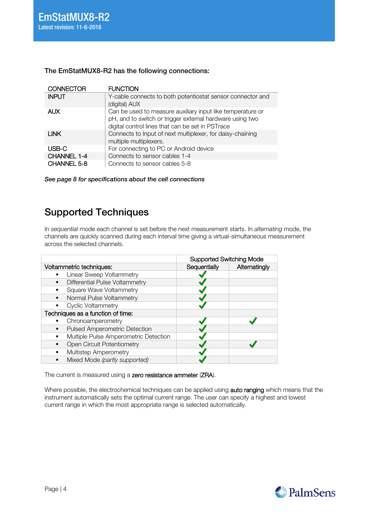| <b>CONNECTOR</b>   | <b>FUNCTION</b>                                                                                                                                                            |
|--------------------|----------------------------------------------------------------------------------------------------------------------------------------------------------------------------|
| <b>INPUT</b>       | Y-cable connects to both potentiostat sensor connector and<br>(digital) AUX                                                                                                |
| <b>AUX</b>         | Can be used to measure auxiliary input like temperature or<br>pH, and to switch or trigger external hardware using two<br>digital control lines that can be set in PSTrace |
| <b>LINK</b>        | Connects to Input of next multiplexer, for daisy-chaining<br>multiple multiplexers.                                                                                        |
| USB-C              | For connecting to PC or Android device                                                                                                                                     |
| CHANNEL 1-4        | Connects to sensor cables 1-4                                                                                                                                              |
| <b>CHANNEL 5-8</b> | Connects to sensor cables 5-8                                                                                                                                              |

#### <span id="page-3-0"></span>The EmStatMUX8-R2 has the following connections:

See page [8](#page-7-0) for specifications about the cell connections

### <span id="page-3-1"></span>Supported Techniques

In sequential mode each channel is set before the next measurement starts. In alternating mode, the channels are quickly scanned during each interval time giving a virtual-simultaneous measurement across the selected channels.

|                                       | <b>Supported Switching Mode</b> |               |
|---------------------------------------|---------------------------------|---------------|
| Voltammetric techniques:              | Sequentially                    | Alternatingly |
| Linear Sweep Voltammetry<br>٠.        |                                 |               |
| Differential Pulse Voltammetry<br>٠   |                                 |               |
| <b>Square Wave Voltammetry</b>        |                                 |               |
| Normal Pulse Voltammetry<br>٠.        |                                 |               |
| <b>Cyclic Voltammetry</b><br>٠        |                                 |               |
| Techniques as a function of time:     |                                 |               |
| Chronoamperometry                     |                                 |               |
| Pulsed Amperometric Detection         |                                 |               |
| Multiple Pulse Amperometric Detection |                                 |               |
| <b>Open Circuit Potentiometry</b>     |                                 |               |
| Multistep Amperometry                 |                                 |               |
| Mixed Mode (partly supported)         |                                 |               |

The current is measured using a zero resistance ammeter (ZRA).

Where possible, the electrochemical techniques can be applied using auto ranging which means that the instrument automatically sets the optimal current range. The user can specify a highest and lowest current range in which the most appropriate range is selected automatically.

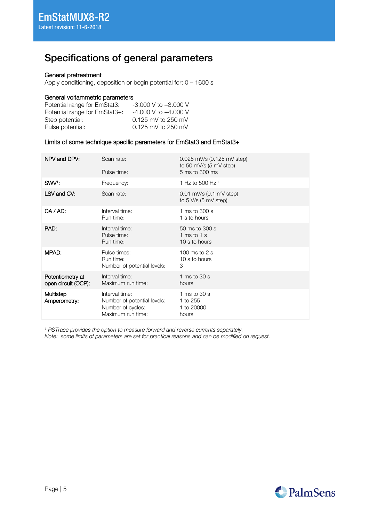## <span id="page-4-0"></span>Specifications of general parameters

#### General pretreatment

Apply conditioning, deposition or begin potential for: 0 – 1600 s

#### General voltammetric parameters

| Potential range for EmStat3:  | $-3.000$ V to $+3.000$ V |
|-------------------------------|--------------------------|
| Potential range for EmStat3+: | $-4.000$ V to $+4.000$ V |
| Step potential:               | 0.125 mV to 250 mV       |
| Pulse potential:              | 0.125 mV to 250 mV       |

#### Limits of some technique specific parameters for EmStat3 and EmStat3+

| NPV and DPV:                            | Scan rate:<br>Pulse time:                                                               | 0.025 mV/s (0.125 mV step)<br>to 50 mV/s (5 mV step)<br>5 ms to 300 ms |
|-----------------------------------------|-----------------------------------------------------------------------------------------|------------------------------------------------------------------------|
| SWV:                                    | Frequency:                                                                              | 1 Hz to 500 Hz <sup>1</sup>                                            |
| LSV and CV:                             | Scan rate:                                                                              | $0.01$ mV/s $(0.1$ mV step)<br>to $5$ V/s $(5$ mV step)                |
| $CA / AD$ :                             | Interval time:<br>Run time:                                                             | 1 ms to 300 s<br>1 s to hours                                          |
| PAD:                                    | Interval time:<br>Pulse time:<br>Run time:                                              | 50 ms to 300 s<br>1 ms to 1 s<br>10 s to hours                         |
| MPAD:                                   | Pulse times:<br>Run time:<br>Number of potential levels:                                | 100 ms to $2s$<br>10 s to hours<br>3                                   |
| Potentiometry at<br>open circuit (OCP): | Interval time:<br>Maximum run time:                                                     | 1 ms to $30 s$<br>hours                                                |
| Multistep<br>Amperometry:               | Interval time:<br>Number of potential levels:<br>Number of cycles:<br>Maximum run time: | 1 ms to $30 s$<br>1 to 255<br>1 to 20000<br>hours                      |

<sup>1</sup> PSTrace provides the option to measure forward and reverse currents separately.

Note: some limits of parameters are set for practical reasons and can be modified on request.

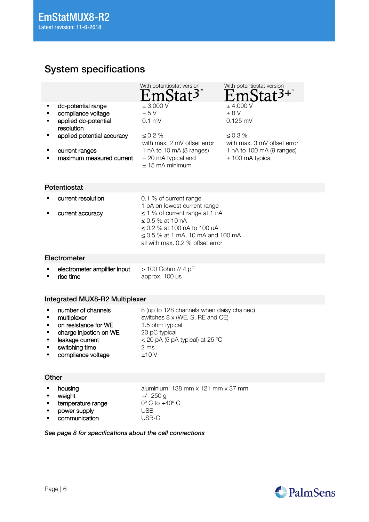## <span id="page-5-0"></span>System specifications

|                                    | With potentiostat version                                                                                                                                                | With potentiostat version                    |
|------------------------------------|--------------------------------------------------------------------------------------------------------------------------------------------------------------------------|----------------------------------------------|
| dc-potential range<br>٠            | ± 3.000 V                                                                                                                                                                | $±$ 4.000 V                                  |
| compliance voltage                 | ± 5V                                                                                                                                                                     | $\pm$ 8 V                                    |
| applied dc-potential<br>resolution | $0.1$ mV                                                                                                                                                                 | $0.125$ mV                                   |
| applied potential accuracy         | $\leq 0.2 \%$<br>with max. 2 mV offset error                                                                                                                             | $\leq 0.3 \%$<br>with max. 3 mV offset error |
| current ranges                     | 1 nA to 10 mA (8 ranges)                                                                                                                                                 | 1 nA to 100 mA (9 ranges)                    |
| maximum measured current           | $\pm$ 20 mA typical and<br>$\pm$ 15 mA minimum                                                                                                                           | $±$ 100 mA typical                           |
| Potentiostat                       |                                                                                                                                                                          |                                              |
| current resolution                 | 0.1 % of current range<br>1 pA on lowest current range                                                                                                                   |                                              |
| current accuracy                   | $\leq$ 1 % of current range at 1 nA<br>$<$ 0.5 % at 10 nA<br>$<$ 0.2 % at 100 nA to 100 uA<br>$\leq$ 0.5 % at 1 mA, 10 mA and 100 mA<br>all with max. 0.2 % offset error |                                              |

#### <span id="page-5-2"></span><span id="page-5-1"></span>Electrometer

| electrometer amplifier input | > 100 Gohm // 4 pF  |
|------------------------------|---------------------|
| rise time                    | approx. $100 \mu s$ |

#### <span id="page-5-4"></span>Integrated MUX8-R2 Multiplexer

#### <span id="page-5-3"></span>**Other**

| • housing                  | aluminium: 138 mm $\times$ 121 mm $\times$ 37 mm |
|----------------------------|--------------------------------------------------|
| • weiaht                   | +/- 250 g                                        |
| <b>E</b> temperature range | $0^{\circ}$ C to $+40^{\circ}$ C                 |
| power supply               | USB                                              |

■ communication USB-C

<span id="page-5-5"></span>See page [8](#page-7-0) for specifications about the cell connections

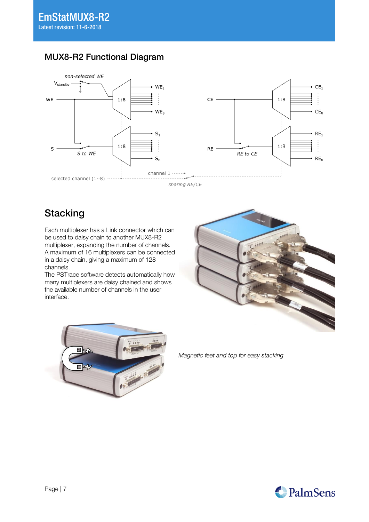

### MUX8-R2 Functional Diagram

sharing RE/CE

## <span id="page-6-0"></span>**Stacking**

Each multiplexer has a Link connector which can be used to daisy chain to another MUX8-R2 multiplexer, expanding the number of channels. A maximum of 16 multiplexers can be connected in a daisy chain, giving a maximum of 128 channels.

The PSTrace software detects automatically how many multiplexers are daisy chained and shows the available number of channels in the user interface.





Magnetic feet and top for easy stacking

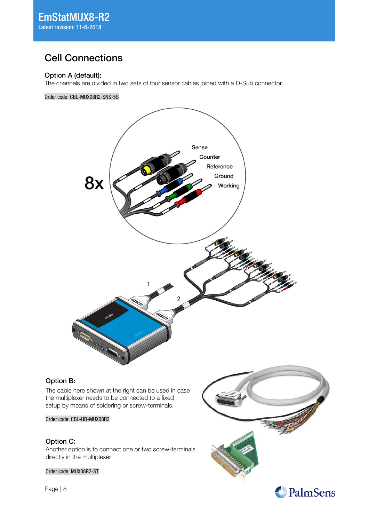### <span id="page-7-0"></span>Cell Connections

#### <span id="page-7-1"></span>Option A (default):

The channels are divided in two sets of four sensor cables joined with a D-Sub connector.

Order code: CBL-MUX08R2-SNS-5S



#### Option B:

The cable here shown at the right can be used in case the multiplexer needs to be connected to a fixed setup by means of soldering or screw-terminals.

Order code: CBL-HD-MUX08R2

#### Option C:

Another option is to connect one or two screw-terminals directly in the multiplexer.

Order code: MUX08R2-ST